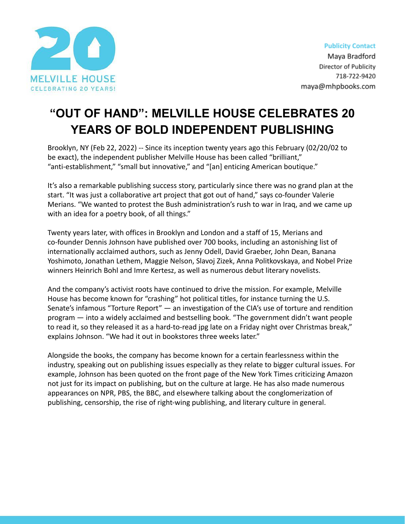

## **"OUT OF HAND": MELVILLE HOUSE CELEBRATES 20 YEARS OF BOLD INDEPENDENT PUBLISHING**

Brooklyn, NY (Feb 22, 2022) -- Since its inception twenty years ago this February (02/20/02 to be exact), the independent publisher Melville House has been called "brilliant," "anti-establishment," "small but innovative," and "[an] enticing American boutique."

It's also a remarkable publishing success story, particularly since there was no grand plan at the start. "It was just a collaborative art project that got out of hand," says co-founder Valerie Merians. "We wanted to protest the Bush administration's rush to war in Iraq, and we came up with an idea for a poetry book, of all things."

Twenty years later, with offices in Brooklyn and London and a staff of 15, Merians and co-founder Dennis Johnson have published over 700 books, including an astonishing list of internationally acclaimed authors, such as Jenny Odell, David Graeber, John Dean, Banana Yoshimoto, Jonathan Lethem, Maggie Nelson, Slavoj Zizek, Anna Politkovskaya, and Nobel Prize winners Heinrich Bohl and Imre Kertesz, as well as numerous debut literary novelists.

And the company's activist roots have continued to drive the mission. For example, Melville House has become known for "crashing" hot political titles, for instance turning the U.S. Senate's infamous "Torture Report" — an investigation of the CIA's use of torture and rendition program — into a widely acclaimed and bestselling book. "The government didn't want people to read it, so they released it as a hard-to-read jpg late on a Friday night over Christmas break," explains Johnson. "We had it out in bookstores three weeks later."

Alongside the books, the company has become known for a certain fearlessness within the industry, speaking out on publishing issues especially as they relate to bigger cultural issues. For example, Johnson has been quoted on the front page of the New York Times criticizing Amazon not just for its impact on publishing, but on the culture at large. He has also made numerous appearances on NPR, PBS, the BBC, and elsewhere talking about the conglomerization of publishing, censorship, the rise of right-wing publishing, and literary culture in general.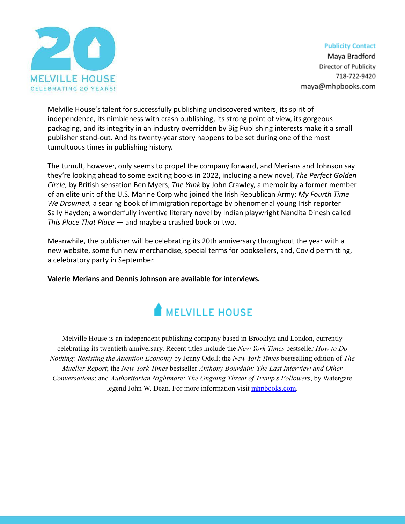

**Publicity Contact** 

Maya Bradford Director of Publicity 718-722-9420 maya@mhpbooks.com

Melville House's talent for successfully publishing undiscovered writers, its spirit of independence, its nimbleness with crash publishing, its strong point of view, its gorgeous packaging, and its integrity in an industry overridden by Big Publishing interests make it a small publisher stand-out. And its twenty-year story happens to be set during one of the most tumultuous times in publishing history.

The tumult, however, only seems to propel the company forward, and Merians and Johnson say they're looking ahead to some exciting books in 2022, including a new novel, *The Perfect Golden Circle,* by British sensation Ben Myers; *The Yank* by John Crawley, a memoir by a former member of an elite unit of the U.S. Marine Corp who joined the Irish Republican Army; *My Fourth Time We Drowned,* a searing book of immigration reportage by phenomenal young Irish reporter Sally Hayden; a wonderfully inventive literary novel by Indian playwright Nandita Dinesh called *This Place That Place* — and maybe a crashed book or two.

Meanwhile, the publisher will be celebrating its 20th anniversary throughout the year with a new website, some fun new merchandise, special terms for booksellers, and, Covid permitting, a celebratory party in September.

**Valerie Merians and Dennis Johnson are available for interviews.**



Melville House is an independent publishing company based in Brooklyn and London, currently celebrating its twentieth anniversary. Recent titles include the *New York Times* bestseller *How to Do Nothing: Resisting the Attention Economy* by Jenny Odell; the *New York Times* bestselling edition of *The Mueller Report*; the *New York Times* bestseller *Anthony Bourdain: The Last Interview and Other Conversations*; and *Authoritarian Nightmare: The Ongoing Threat of Trump's Followers*, by Watergate legend John W. Dean. For more information visit *mhpbooks.com*.